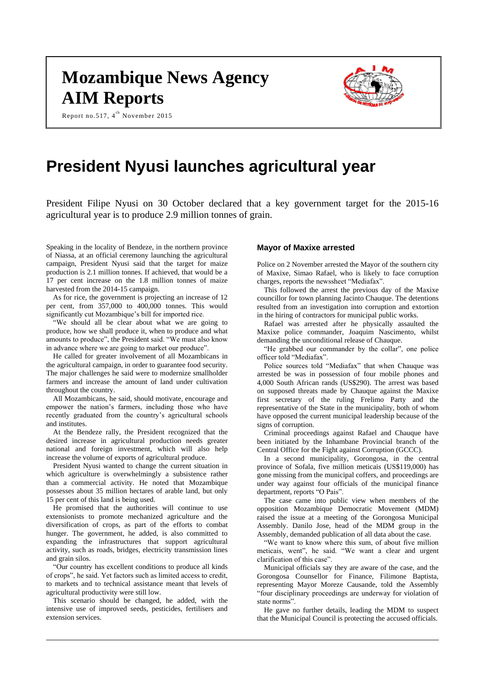# **Mozambique News Agency AIM Reports**

Report no.517, 4<sup>th</sup> November 2015



# **President Nyusi launches agricultural year**

President Filipe Nyusi on 30 October declared that a key government target for the 2015-16 agricultural year is to produce 2.9 million tonnes of grain.

Speaking in the locality of Bendeze, in the northern province of Niassa, at an official ceremony launching the agricultural campaign, President Nyusi said that the target for maize production is 2.1 million tonnes. If achieved, that would be a 17 per cent increase on the 1.8 million tonnes of maize harvested from the 2014-15 campaign.

As for rice, the government is projecting an increase of 12 per cent, from 357,000 to 400,000 tonnes. This would significantly cut Mozambique's bill for imported rice.

"We should all be clear about what we are going to produce, how we shall produce it, when to produce and what amounts to produce", the President said. "We must also know in advance where we are going to market our produce".

He called for greater involvement of all Mozambicans in the agricultural campaign, in order to guarantee food security. The major challenges he said were to modernize smallholder farmers and increase the amount of land under cultivation throughout the country.

All Mozambicans, he said, should motivate, encourage and empower the nation's farmers, including those who have recently graduated from the country's agricultural schools and institutes.

At the Bendeze rally, the President recognized that the desired increase in agricultural production needs greater national and foreign investment, which will also help increase the volume of exports of agricultural produce.

President Nyusi wanted to change the current situation in which agriculture is overwhelmingly a subsistence rather than a commercial activity. He noted that Mozambique possesses about 35 million hectares of arable land, but only 15 per cent of this land is being used.

He promised that the authorities will continue to use extensionists to promote mechanized agriculture and the diversification of crops, as part of the efforts to combat hunger. The government, he added, is also committed to expanding the infrastructures that support agricultural activity, such as roads, bridges, electricity transmission lines and grain silos.

"Our country has excellent conditions to produce all kinds of crops", he said. Yet factors such as limited access to credit, to markets and to technical assistance meant that levels of agricultural productivity were still low.

This scenario should be changed, he added, with the intensive use of improved seeds, pesticides, fertilisers and extension services.

#### **Mayor of Maxixe arrested**

Police on 2 November arrested the Mayor of the southern city of Maxixe, Simao Rafael, who is likely to face corruption charges, reports the newssheet "Mediafax".

This followed the arrest the previous day of the Maxixe councillor for town planning Jacinto Chauque. The detentions resulted from an investigation into corruption and extortion in the hiring of contractors for municipal public works.

Rafael was arrested after he physically assaulted the Maxixe police commander, Joaquim Nascimento, whilst demanding the unconditional release of Chauque.

"He grabbed our commander by the collar", one police officer told "Mediafax".

Police sources told "Mediafax" that when Chauque was arrested be was in possession of four mobile phones and 4,000 South African rands (US\$290). The arrest was based on supposed threats made by Chauque against the Maxixe first secretary of the ruling Frelimo Party and the representative of the State in the municipality, both of whom have opposed the current municipal leadership because of the signs of corruption.

Criminal proceedings against Rafael and Chauque have been initiated by the Inhambane Provincial branch of the Central Office for the Fight against Corruption (GCCC).

In a second municipality, Gorongosa, in the central province of Sofala, five million meticais (US\$119,000) has gone missing from the municipal coffers, and proceedings are under way against four officials of the municipal finance department, reports "O Pais".

The case came into public view when members of the opposition Mozambique Democratic Movement (MDM) raised the issue at a meeting of the Gorongosa Municipal Assembly. Danilo Jose, head of the MDM group in the Assembly, demanded publication of all data about the case.

"We want to know where this sum, of about five million meticais, went", he said. "We want a clear and urgent clarification of this case".

Municipal officials say they are aware of the case, and the Gorongosa Counsellor for Finance, Filimone Baptista, representing Mayor Moreze Causande, told the Assembly "four disciplinary proceedings are underway for violation of state norms".

He gave no further details, leading the MDM to suspect that the Municipal Council is protecting the accused officials.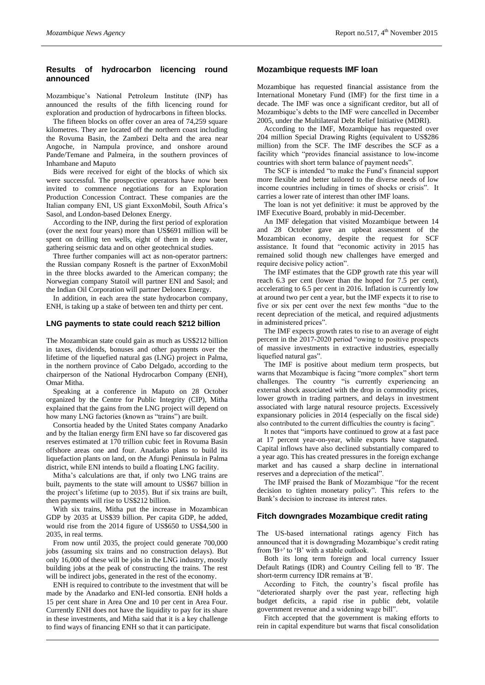### **Results of hydrocarbon licencing round announced**

Mozambique's National Petroleum Institute (INP) has announced the results of the fifth licencing round for exploration and production of hydrocarbons in fifteen blocks.

The fifteen blocks on offer cover an area of 74,259 square kilometres. They are located off the northern coast including the Rovuma Basin, the Zambezi Delta and the area near Angoche, in Nampula province, and onshore around Pande/Temane and Palmeira, in the southern provinces of Inhambane and Maputo

Bids were received for eight of the blocks of which six were successful. The prospective operators have now been invited to commence negotiations for an Exploration Production Concession Contract. These companies are the Italian company ENI, US giant ExxonMobil, South Africa's Sasol, and London-based Delonex Energy.

According to the INP, during the first period of exploration (over the next four years) more than US\$691 million will be spent on drilling ten wells, eight of them in deep water, gathering seismic data and on other geotechnical studies.

Three further companies will act as non-operator partners: the Russian company Rosneft is the partner of ExxonMobil in the three blocks awarded to the American company; the Norwegian company Statoil will partner ENI and Sasol; and the Indian Oil Corporation will partner Delonex Energy.

In addition, in each area the state hydrocarbon company, ENH, is taking up a stake of between ten and thirty per cent.

#### **LNG payments to state could reach \$212 billion**

The Mozambican state could gain as much as US\$212 billion in taxes, dividends, bonuses and other payments over the lifetime of the liquefied natural gas (LNG) project in Palma, in the northern province of Cabo Delgado, according to the chairperson of the National Hydrocarbon Company (ENH), Omar Mitha.

Speaking at a conference in Maputo on 28 October organized by the Centre for Public Integrity (CIP), Mitha explained that the gains from the LNG project will depend on how many LNG factories (known as "trains") are built.

Consortia headed by the United States company Anadarko and by the Italian energy firm ENI have so far discovered gas reserves estimated at 170 trillion cubic feet in Rovuma Basin offshore areas one and four. Anadarko plans to build its liquefaction plants on land, on the Afungi Peninsula in Palma district, while ENI intends to build a floating LNG facility.

Mitha's calculations are that, if only two LNG trains are built, payments to the state will amount to US\$67 billion in the project's lifetime (up to 2035). But if six trains are built, then payments will rise to US\$212 billion.

With six trains, Mitha put the increase in Mozambican GDP by 2035 at US\$39 billion. Per capita GDP, he added, would rise from the 2014 figure of US\$650 to US\$4,500 in 2035, in real terms.

From now until 2035, the project could generate 700,000 jobs (assuming six trains and no construction delays). But only 16,000 of these will be jobs in the LNG industry, mostly building jobs at the peak of constructing the trains. The rest will be indirect jobs, generated in the rest of the economy.

ENH is required to contribute to the investment that will be made by the Anadarko and ENI-led consortia. ENH holds a 15 per cent share in Area One and 10 per cent in Area Four. Currently ENH does not have the liquidity to pay for its share in these investments, and Mitha said that it is a key challenge to find ways of financing ENH so that it can participate.

#### **Mozambique requests IMF loan**

Mozambique has requested financial assistance from the International Monetary Fund (IMF) for the first time in a decade. The IMF was once a significant creditor, but all of Mozambique's debts to the IMF were cancelled in December 2005, under the Multilateral Debt Relief Initiative (MDRI).

According to the IMF, Mozambique has requested over 204 million Special Drawing Rights (equivalent to US\$286 million) from the SCF. The IMF describes the SCF as a facility which "provides financial assistance to low-income countries with short term balance of payment needs".

The SCF is intended "to make the Fund's financial support more flexible and better tailored to the diverse needs of low income countries including in times of shocks or crisis". It carries a lower rate of interest than other IMF loans.

The loan is not yet definitive: it must be approved by the IMF Executive Board, probably in mid-December.

An IMF delegation that visited Mozambique between 14 and 28 October gave an upbeat assessment of the Mozambican economy, despite the request for SCF assistance. It found that "economic activity in 2015 has remained solid though new challenges have emerged and require decisive policy action".

The IMF estimates that the GDP growth rate this year will reach 6.3 per cent (lower than the hoped for 7.5 per cent), accelerating to 6.5 per cent in 2016. Inflation is currently low at around two per cent a year, but the IMF expects it to rise to five or six per cent over the next few months "due to the recent depreciation of the metical, and required adjustments in administered prices".

The IMF expects growth rates to rise to an average of eight percent in the 2017-2020 period "owing to positive prospects of massive investments in extractive industries, especially liquefied natural gas".

The IMF is positive about medium term prospects, but warns that Mozambique is facing "more complex" short term challenges. The country "is currently experiencing an external shock associated with the drop in commodity prices, lower growth in trading partners, and delays in investment associated with large natural resource projects. Excessively expansionary policies in 2014 (especially on the fiscal side) also contributed to the current difficulties the country is facing".

It notes that "imports have continued to grow at a fast pace at 17 percent year-on-year, while exports have stagnated. Capital inflows have also declined substantially compared to a year ago. This has created pressures in the foreign exchange market and has caused a sharp decline in international reserves and a depreciation of the metical".

The IMF praised the Bank of Mozambique "for the recent decision to tighten monetary policy". This refers to the Bank's decision to increase its interest rates.

#### **Fitch downgrades Mozambique credit rating**

The US-based international ratings agency Fitch has announced that it is downgrading Mozambique's credit rating from 'B+' to 'B' with a stable outlook.

Both its long term foreign and local currency Issuer Default Ratings (IDR) and Country Ceiling fell to 'B'. The short-term currency IDR remains at 'B'.

According to Fitch, the country's fiscal profile has "deteriorated sharply over the past year, reflecting high budget deficits, a rapid rise in public debt, volatile government revenue and a widening wage bill".

Fitch accepted that the government is making efforts to rein in capital expenditure but warns that fiscal consolidation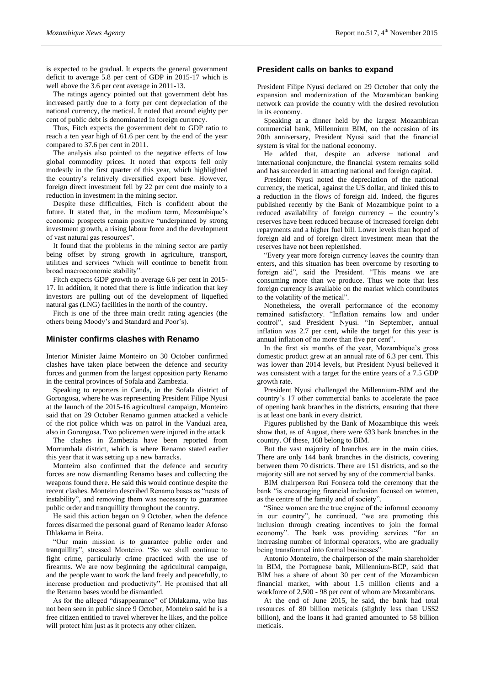is expected to be gradual. It expects the general government deficit to average 5.8 per cent of GDP in 2015-17 which is well above the 3.6 per cent average in 2011-13.

The ratings agency pointed out that government debt has increased partly due to a forty per cent depreciation of the national currency, the metical. It noted that around eighty per cent of public debt is denominated in foreign currency.

Thus, Fitch expects the government debt to GDP ratio to reach a ten year high of 61.6 per cent by the end of the year compared to 37.6 per cent in 2011.

The analysis also pointed to the negative effects of low global commodity prices. It noted that exports fell only modestly in the first quarter of this year, which highlighted the country's relatively diversified export base. However, foreign direct investment fell by 22 per cent due mainly to a reduction in investment in the mining sector.

Despite these difficulties, Fitch is confident about the future. It stated that, in the medium term, Mozambique's economic prospects remain positive "underpinned by strong investment growth, a rising labour force and the development of vast natural gas resources".

It found that the problems in the mining sector are partly being offset by strong growth in agriculture, transport, utilities and services "which will continue to benefit from broad macroeconomic stability".

Fitch expects GDP growth to average 6.6 per cent in 2015- 17. In addition, it noted that there is little indication that key investors are pulling out of the development of liquefied natural gas (LNG) facilities in the north of the country.

Fitch is one of the three main credit rating agencies (the others being Moody's and Standard and Poor's).

#### **Minister confirms clashes with Renamo**

Interior Minister Jaime Monteiro on 30 October confirmed clashes have taken place between the defence and security forces and gunmen from the largest opposition party Renamo in the central provinces of Sofala and Zambezia.

Speaking to reporters in Canda, in the Sofala district of Gorongosa, where he was representing President Filipe Nyusi at the launch of the 2015-16 agricultural campaign, Monteiro said that on 29 October Renamo gunmen attacked a vehicle of the riot police which was on patrol in the Vanduzi area, also in Gorongosa. Two policemen were injured in the attack

The clashes in Zambezia have been reported from Morrumbala district, which is where Renamo stated earlier this year that it was setting up a new barracks.

Monteiro also confirmed that the defence and security forces are now dismantling Renamo bases and collecting the weapons found there. He said this would continue despite the recent clashes. Monteiro described Renamo bases as "nests of instability", and removing them was necessary to guarantee public order and tranquillity throughout the country.

He said this action began on 9 October, when the defence forces disarmed the personal guard of Renamo leader Afonso Dhlakama in Beira.

"Our main mission is to guarantee public order and tranquillity", stressed Monteiro. "So we shall continue to fight crime, particularly crime practiced with the use of firearms. We are now beginning the agricultural campaign, and the people want to work the land freely and peacefully, to increase production and productivity". He promised that all the Renamo bases would be dismantled.

As for the alleged "disappearance" of Dhlakama, who has not been seen in public since 9 October, Monteiro said he is a free citizen entitled to travel wherever he likes, and the police will protect him just as it protects any other citizen.

#### **President calls on banks to expand**

President Filipe Nyusi declared on 29 October that only the expansion and modernization of the Mozambican banking network can provide the country with the desired revolution in its economy.

Speaking at a dinner held by the largest Mozambican commercial bank, Millennium BIM, on the occasion of its 20th anniversary, President Nyusi said that the financial system is vital for the national economy.

He added that, despite an adverse national and international conjuncture, the financial system remains solid and has succeeded in attracting national and foreign capital.

President Nyusi noted the depreciation of the national currency, the metical, against the US dollar, and linked this to a reduction in the flows of foreign aid. Indeed, the figures published recently by the Bank of Mozambique point to a reduced availability of foreign currency – the country's reserves have been reduced because of increased foreign debt repayments and a higher fuel bill. Lower levels than hoped of foreign aid and of foreign direct investment mean that the reserves have not been replenished.

"Every year more foreign currency leaves the country than enters, and this situation has been overcome by resorting to foreign aid", said the President. "This means we are consuming more than we produce. Thus we note that less foreign currency is available on the market which contributes to the volatility of the metical".

Nonetheless, the overall performance of the economy remained satisfactory. "Inflation remains low and under control", said President Nyusi. "In September, annual inflation was 2.7 per cent, while the target for this year is annual inflation of no more than five per cent".

In the first six months of the year, Mozambique's gross domestic product grew at an annual rate of 6.3 per cent. This was lower than 2014 levels, but President Nyusi believed it was consistent with a target for the entire years of a 7.5 GDP growth rate.

President Nyusi challenged the Millennium-BIM and the country's 17 other commercial banks to accelerate the pace of opening bank branches in the districts, ensuring that there is at least one bank in every district.

Figures published by the Bank of Mozambique this week show that, as of August, there were 633 bank branches in the country. Of these, 168 belong to BIM.

But the vast majority of branches are in the main cities. There are only 144 bank branches in the districts, covering between them 70 districts. There are 151 districts, and so the majority still are not served by any of the commercial banks.

BIM chairperson Rui Fonseca told the ceremony that the bank "is encouraging financial inclusion focused on women, as the centre of the family and of society".

"Since women are the true engine of the informal economy in our country", he continued, "we are promoting this inclusion through creating incentives to join the formal economy". The bank was providing services "for an increasing number of informal operators, who are gradually being transformed into formal businesses".

Antonio Monteiro, the chairperson of the main shareholder in BIM, the Portuguese bank, Millennium-BCP, said that BIM has a share of about 30 per cent of the Mozambican financial market, with about 1.5 million clients and a workforce of 2,500 - 98 per cent of whom are Mozambicans.

At the end of June 2015, he said, the bank had total resources of 80 billion meticais (slightly less than US\$2 billion), and the loans it had granted amounted to 58 billion meticais.